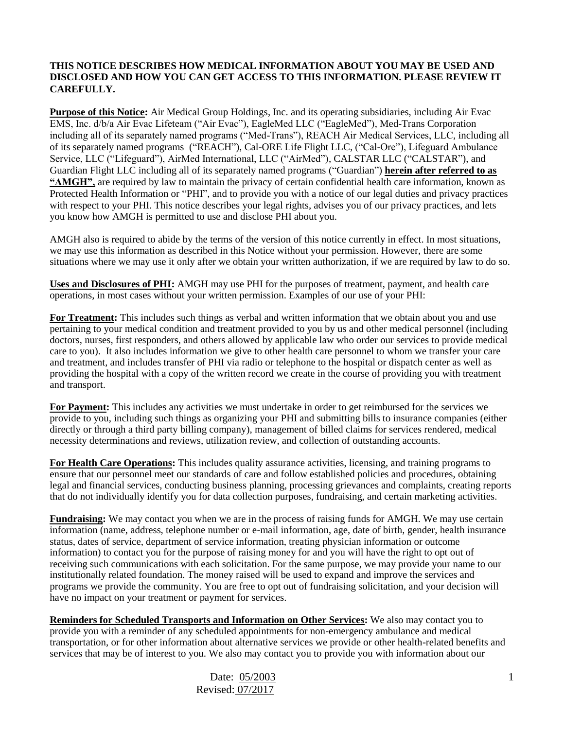## **THIS NOTICE DESCRIBES HOW MEDICAL INFORMATION ABOUT YOU MAY BE USED AND DISCLOSED AND HOW YOU CAN GET ACCESS TO THIS INFORMATION. PLEASE REVIEW IT CAREFULLY.**

**Purpose of this Notice:** Air Medical Group Holdings, Inc. and its operating subsidiaries, including Air Evac EMS, Inc. d/b/a Air Evac Lifeteam ("Air Evac"), EagleMed LLC ("EagleMed"), Med-Trans Corporation including all of its separately named programs ("Med-Trans"), REACH Air Medical Services, LLC, including all of its separately named programs ("REACH"), Cal-ORE Life Flight LLC, ("Cal-Ore"), Lifeguard Ambulance Service, LLC ("Lifeguard"), AirMed International, LLC ("AirMed"), CALSTAR LLC ("CALSTAR"), and Guardian Flight LLC including all of its separately named programs ("Guardian") **herein after referred to as "AMGH",** are required by law to maintain the privacy of certain confidential health care information, known as Protected Health Information or "PHI", and to provide you with a notice of our legal duties and privacy practices with respect to your PHI. This notice describes your legal rights, advises you of our privacy practices, and lets you know how AMGH is permitted to use and disclose PHI about you.

AMGH also is required to abide by the terms of the version of this notice currently in effect. In most situations, we may use this information as described in this Notice without your permission. However, there are some situations where we may use it only after we obtain your written authorization, if we are required by law to do so.

**Uses and Disclosures of PHI:** AMGH may use PHI for the purposes of treatment, payment, and health care operations, in most cases without your written permission. Examples of our use of your PHI:

**For Treatment:** This includes such things as verbal and written information that we obtain about you and use pertaining to your medical condition and treatment provided to you by us and other medical personnel (including doctors, nurses, first responders, and others allowed by applicable law who order our services to provide medical care to you). It also includes information we give to other health care personnel to whom we transfer your care and treatment, and includes transfer of PHI via radio or telephone to the hospital or dispatch center as well as providing the hospital with a copy of the written record we create in the course of providing you with treatment and transport.

**For Payment:** This includes any activities we must undertake in order to get reimbursed for the services we provide to you, including such things as organizing your PHI and submitting bills to insurance companies (either directly or through a third party billing company), management of billed claims for services rendered, medical necessity determinations and reviews, utilization review, and collection of outstanding accounts.

**For Health Care Operations:** This includes quality assurance activities, licensing, and training programs to ensure that our personnel meet our standards of care and follow established policies and procedures, obtaining legal and financial services, conducting business planning, processing grievances and complaints, creating reports that do not individually identify you for data collection purposes, fundraising, and certain marketing activities.

**Fundraising:** We may contact you when we are in the process of raising funds for AMGH. We may use certain information (name, address, telephone number or e-mail information, age, date of birth, gender, health insurance status, dates of service, department of service information, treating physician information or outcome information) to contact you for the purpose of raising money for and you will have the right to opt out of receiving such communications with each solicitation. For the same purpose, we may provide your name to our institutionally related foundation. The money raised will be used to expand and improve the services and programs we provide the community. You are free to opt out of fundraising solicitation, and your decision will have no impact on your treatment or payment for services.

**Reminders for Scheduled Transports and Information on Other Services:** We also may contact you to provide you with a reminder of any scheduled appointments for non-emergency ambulance and medical transportation, or for other information about alternative services we provide or other health-related benefits and services that may be of interest to you. We also may contact you to provide you with information about our

## Date: 05/2003 Revised: 07/2017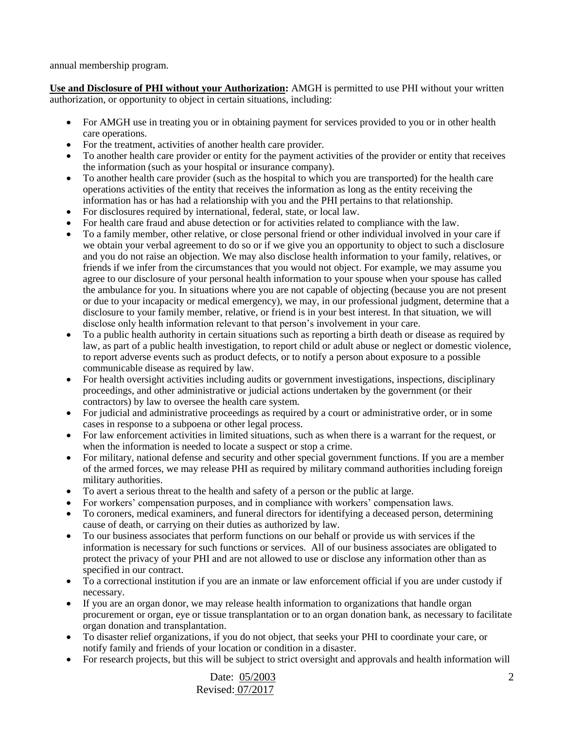annual membership program.

**Use and Disclosure of PHI without your Authorization:** AMGH is permitted to use PHI without your written authorization, or opportunity to object in certain situations, including:

- For AMGH use in treating you or in obtaining payment for services provided to you or in other health care operations.
- For the treatment, activities of another health care provider.
- To another health care provider or entity for the payment activities of the provider or entity that receives the information (such as your hospital or insurance company).
- To another health care provider (such as the hospital to which you are transported) for the health care operations activities of the entity that receives the information as long as the entity receiving the information has or has had a relationship with you and the PHI pertains to that relationship.
- For disclosures required by international, federal, state, or local law.
- For health care fraud and abuse detection or for activities related to compliance with the law.
- To a family member, other relative, or close personal friend or other individual involved in your care if we obtain your verbal agreement to do so or if we give you an opportunity to object to such a disclosure and you do not raise an objection. We may also disclose health information to your family, relatives, or friends if we infer from the circumstances that you would not object. For example, we may assume you agree to our disclosure of your personal health information to your spouse when your spouse has called the ambulance for you. In situations where you are not capable of objecting (because you are not present or due to your incapacity or medical emergency), we may, in our professional judgment, determine that a disclosure to your family member, relative, or friend is in your best interest. In that situation, we will disclose only health information relevant to that person's involvement in your care.
- To a public health authority in certain situations such as reporting a birth death or disease as required by law, as part of a public health investigation, to report child or adult abuse or neglect or domestic violence, to report adverse events such as product defects, or to notify a person about exposure to a possible communicable disease as required by law.
- For health oversight activities including audits or government investigations, inspections, disciplinary proceedings, and other administrative or judicial actions undertaken by the government (or their contractors) by law to oversee the health care system.
- For judicial and administrative proceedings as required by a court or administrative order, or in some cases in response to a subpoena or other legal process.
- For law enforcement activities in limited situations, such as when there is a warrant for the request, or when the information is needed to locate a suspect or stop a crime.
- For military, national defense and security and other special government functions. If you are a member of the armed forces, we may release PHI as required by military command authorities including foreign military authorities.
- To avert a serious threat to the health and safety of a person or the public at large.
- For workers' compensation purposes, and in compliance with workers' compensation laws.
- To coroners, medical examiners, and funeral directors for identifying a deceased person, determining cause of death, or carrying on their duties as authorized by law.
- To our business associates that perform functions on our behalf or provide us with services if the information is necessary for such functions or services. All of our business associates are obligated to protect the privacy of your PHI and are not allowed to use or disclose any information other than as specified in our contract.
- To a correctional institution if you are an inmate or law enforcement official if you are under custody if necessary.
- If you are an organ donor, we may release health information to organizations that handle organ procurement or organ, eye or tissue transplantation or to an organ donation bank, as necessary to facilitate organ donation and transplantation.
- To disaster relief organizations, if you do not object, that seeks your PHI to coordinate your care, or notify family and friends of your location or condition in a disaster.
- For research projects, but this will be subject to strict oversight and approvals and health information will

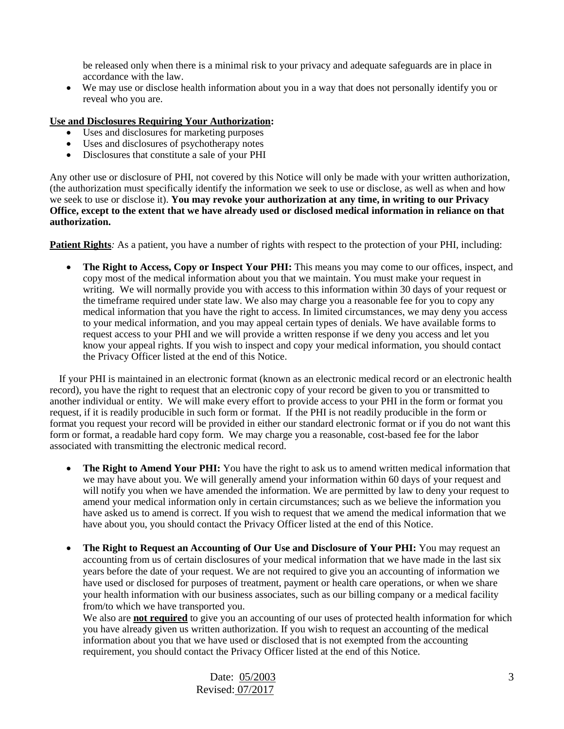be released only when there is a minimal risk to your privacy and adequate safeguards are in place in accordance with the law.

 We may use or disclose health information about you in a way that does not personally identify you or reveal who you are.

## **Use and Disclosures Requiring Your Authorization:**

- Uses and disclosures for marketing purposes
- Uses and disclosures of psychotherapy notes
- Disclosures that constitute a sale of your PHI

Any other use or disclosure of PHI, not covered by this Notice will only be made with your written authorization, (the authorization must specifically identify the information we seek to use or disclose, as well as when and how we seek to use or disclose it). **You may revoke your authorization at any time, in writing to our Privacy Office, except to the extent that we have already used or disclosed medical information in reliance on that authorization.**

**Patient Rights**: As a patient, you have a number of rights with respect to the protection of your PHI, including:

 **The Right to Access, Copy or Inspect Your PHI:** This means you may come to our offices, inspect, and copy most of the medical information about you that we maintain. You must make your request in writing. We will normally provide you with access to this information within 30 days of your request or the timeframe required under state law. We also may charge you a reasonable fee for you to copy any medical information that you have the right to access. In limited circumstances, we may deny you access to your medical information, and you may appeal certain types of denials. We have available forms to request access to your PHI and we will provide a written response if we deny you access and let you know your appeal rights. If you wish to inspect and copy your medical information, you should contact the Privacy Officer listed at the end of this Notice.

If your PHI is maintained in an electronic format (known as an electronic medical record or an electronic health record), you have the right to request that an electronic copy of your record be given to you or transmitted to another individual or entity. We will make every effort to provide access to your PHI in the form or format you request, if it is readily producible in such form or format. If the PHI is not readily producible in the form or format you request your record will be provided in either our standard electronic format or if you do not want this form or format, a readable hard copy form. We may charge you a reasonable, cost-based fee for the labor associated with transmitting the electronic medical record.

- The Right to Amend Your PHI: You have the right to ask us to amend written medical information that we may have about you. We will generally amend your information within 60 days of your request and will notify you when we have amended the information. We are permitted by law to deny your request to amend your medical information only in certain circumstances; such as we believe the information you have asked us to amend is correct. If you wish to request that we amend the medical information that we have about you, you should contact the Privacy Officer listed at the end of this Notice.
- **The Right to Request an Accounting of Our Use and Disclosure of Your PHI:** You may request an accounting from us of certain disclosures of your medical information that we have made in the last six years before the date of your request. We are not required to give you an accounting of information we have used or disclosed for purposes of treatment, payment or health care operations, or when we share your health information with our business associates, such as our billing company or a medical facility from/to which we have transported you.

We also are **not required** to give you an accounting of our uses of protected health information for which you have already given us written authorization. If you wish to request an accounting of the medical information about you that we have used or disclosed that is not exempted from the accounting requirement, you should contact the Privacy Officer listed at the end of this Notice.